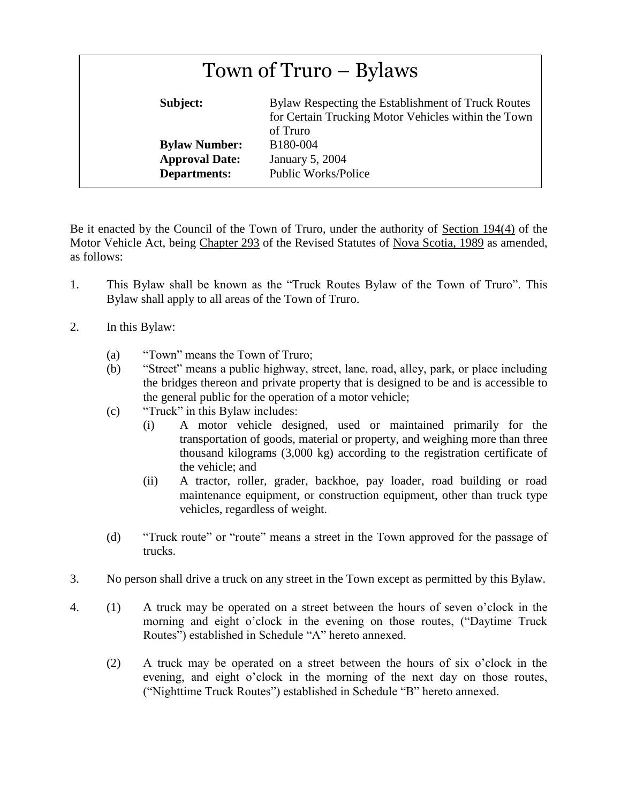| Town of Truro – Bylaws                        |                                                                                                                       |  |
|-----------------------------------------------|-----------------------------------------------------------------------------------------------------------------------|--|
| Subject:                                      | Bylaw Respecting the Establishment of Truck Routes<br>for Certain Trucking Motor Vehicles within the Town<br>of Truro |  |
| <b>Bylaw Number:</b><br><b>Approval Date:</b> | B180-004<br>January 5, 2004                                                                                           |  |
| <b>Departments:</b>                           | <b>Public Works/Police</b>                                                                                            |  |

Be it enacted by the Council of the Town of Truro, under the authority of Section 194(4) of the Motor Vehicle Act, being Chapter 293 of the Revised Statutes of Nova Scotia, 1989 as amended, as follows:

- 1. This Bylaw shall be known as the "Truck Routes Bylaw of the Town of Truro". This Bylaw shall apply to all areas of the Town of Truro.
- 2. In this Bylaw:
	- (a) "Town" means the Town of Truro;
	- (b) "Street" means a public highway, street, lane, road, alley, park, or place including the bridges thereon and private property that is designed to be and is accessible to the general public for the operation of a motor vehicle;
	- (c) "Truck" in this Bylaw includes:
		- (i) A motor vehicle designed, used or maintained primarily for the transportation of goods, material or property, and weighing more than three thousand kilograms (3,000 kg) according to the registration certificate of the vehicle; and
		- (ii) A tractor, roller, grader, backhoe, pay loader, road building or road maintenance equipment, or construction equipment, other than truck type vehicles, regardless of weight.
	- (d) "Truck route" or "route" means a street in the Town approved for the passage of trucks.
- 3. No person shall drive a truck on any street in the Town except as permitted by this Bylaw.
- 4. (1) A truck may be operated on a street between the hours of seven o'clock in the morning and eight o'clock in the evening on those routes, ("Daytime Truck Routes") established in Schedule "A" hereto annexed.
	- (2) A truck may be operated on a street between the hours of six o'clock in the evening, and eight o'clock in the morning of the next day on those routes, ("Nighttime Truck Routes") established in Schedule "B" hereto annexed.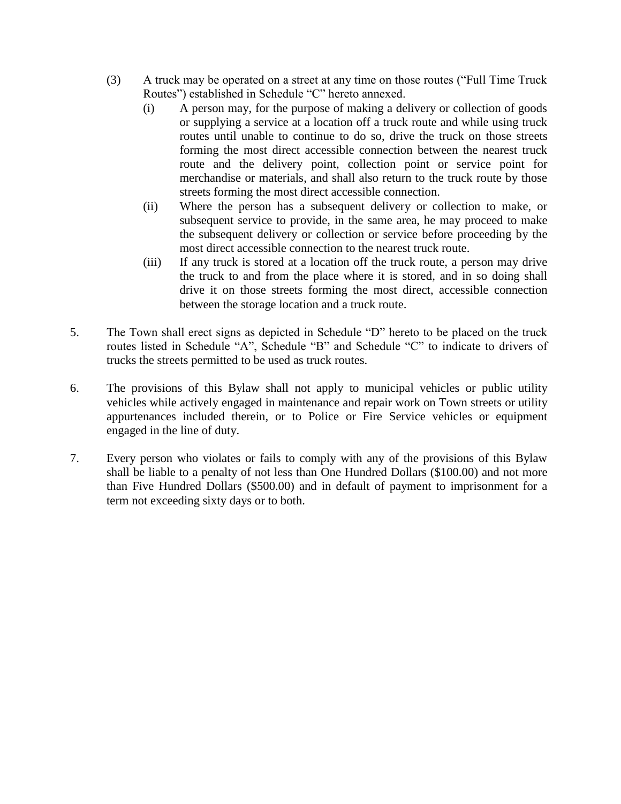- (3) A truck may be operated on a street at any time on those routes ("Full Time Truck Routes") established in Schedule "C" hereto annexed.
	- (i) A person may, for the purpose of making a delivery or collection of goods or supplying a service at a location off a truck route and while using truck routes until unable to continue to do so, drive the truck on those streets forming the most direct accessible connection between the nearest truck route and the delivery point, collection point or service point for merchandise or materials, and shall also return to the truck route by those streets forming the most direct accessible connection.
	- (ii) Where the person has a subsequent delivery or collection to make, or subsequent service to provide, in the same area, he may proceed to make the subsequent delivery or collection or service before proceeding by the most direct accessible connection to the nearest truck route.
	- (iii) If any truck is stored at a location off the truck route, a person may drive the truck to and from the place where it is stored, and in so doing shall drive it on those streets forming the most direct, accessible connection between the storage location and a truck route.
- 5. The Town shall erect signs as depicted in Schedule "D" hereto to be placed on the truck routes listed in Schedule "A", Schedule "B" and Schedule "C" to indicate to drivers of trucks the streets permitted to be used as truck routes.
- 6. The provisions of this Bylaw shall not apply to municipal vehicles or public utility vehicles while actively engaged in maintenance and repair work on Town streets or utility appurtenances included therein, or to Police or Fire Service vehicles or equipment engaged in the line of duty.
- 7. Every person who violates or fails to comply with any of the provisions of this Bylaw shall be liable to a penalty of not less than One Hundred Dollars (\$100.00) and not more than Five Hundred Dollars (\$500.00) and in default of payment to imprisonment for a term not exceeding sixty days or to both.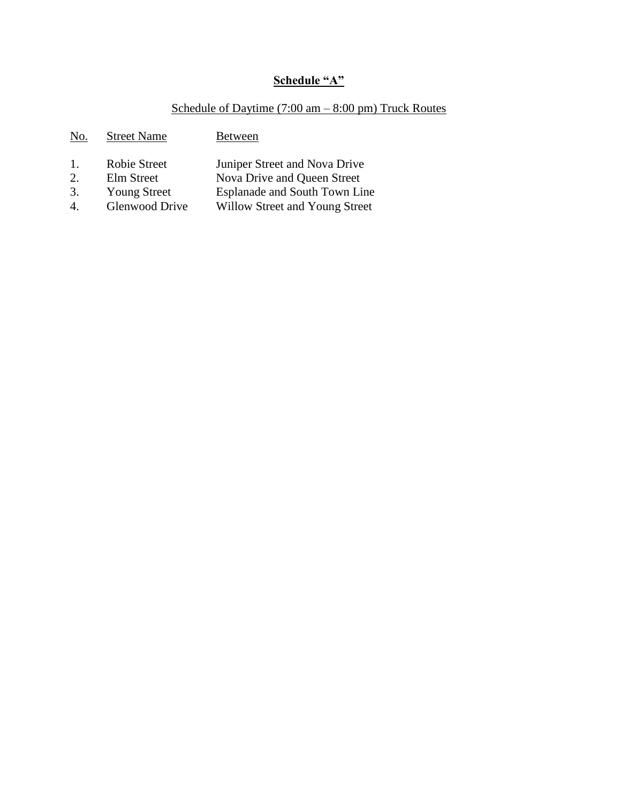# **Schedule "A"**

# Schedule of Daytime (7:00 am – 8:00 pm) Truck Routes

| No. | <b>Street Name</b>  | <b>Between</b>                 |
|-----|---------------------|--------------------------------|
| 1.  | <b>Robie Street</b> | Juniper Street and Nova Drive  |
| 2.  | Elm Street          | Nova Drive and Queen Street    |
| 3.  | <b>Young Street</b> | Esplanade and South Town Line  |
|     | Glenwood Drive      | Willow Street and Young Street |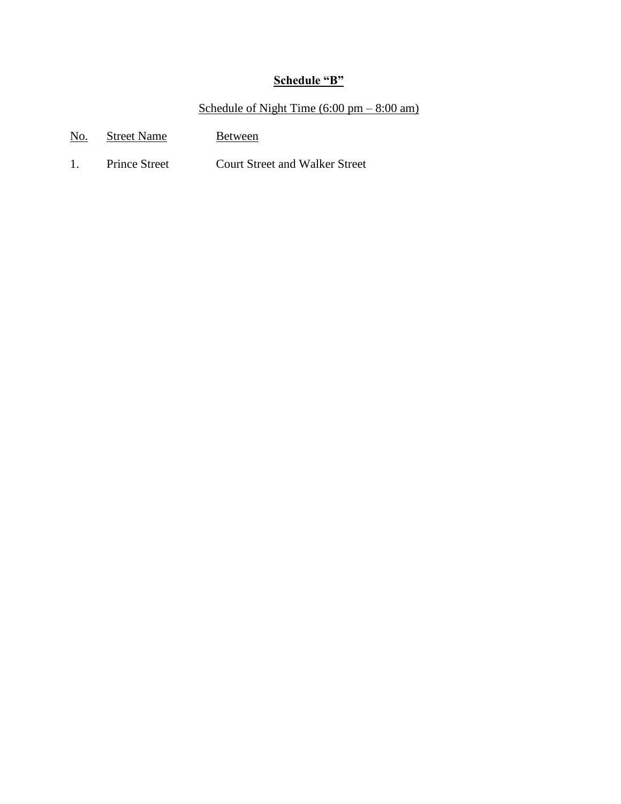### **Schedule "B"**

#### Schedule of Night Time  $(6:00 \text{ pm} - 8:00 \text{ am})$

- No. Street Name Between
- 1. Prince Street Court Street and Walker Street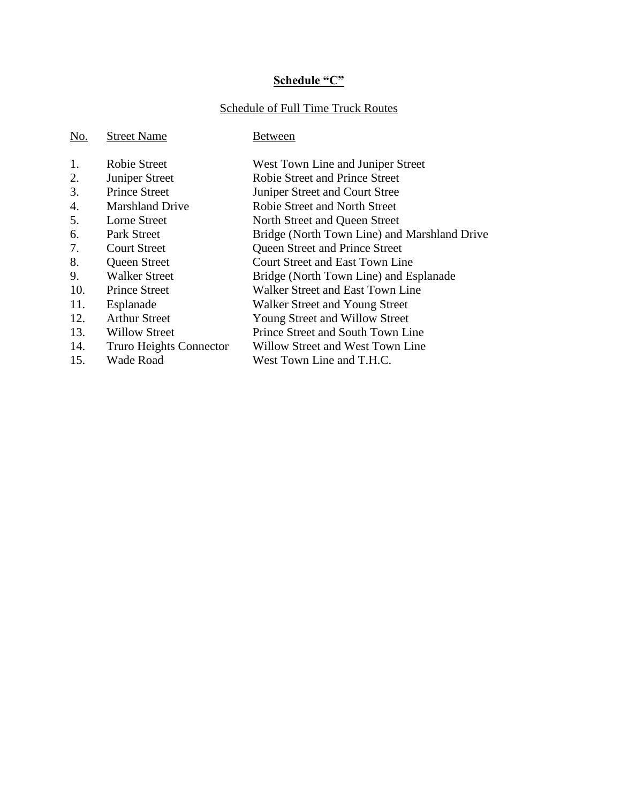# **Schedule "C"**

# Schedule of Full Time Truck Routes

| No. | <b>Street Name</b>      | Between                                      |
|-----|-------------------------|----------------------------------------------|
| 1.  | <b>Robie Street</b>     | West Town Line and Juniper Street            |
| 2.  | Juniper Street          | <b>Robie Street and Prince Street</b>        |
| 3.  | <b>Prince Street</b>    | Juniper Street and Court Stree               |
| 4.  | <b>Marshland Drive</b>  | Robie Street and North Street                |
| 5.  | Lorne Street            | North Street and Queen Street                |
| 6.  | Park Street             | Bridge (North Town Line) and Marshland Drive |
| 7.  | <b>Court Street</b>     | Queen Street and Prince Street               |
| 8.  | Queen Street            | <b>Court Street and East Town Line</b>       |
| 9.  | <b>Walker Street</b>    | Bridge (North Town Line) and Esplanade       |
| 10. | <b>Prince Street</b>    | Walker Street and East Town Line             |
| 11. | Esplanade               | Walker Street and Young Street               |
| 12. | <b>Arthur Street</b>    | Young Street and Willow Street               |
| 13. | Willow Street           | Prince Street and South Town Line            |
| 14. | Truro Heights Connector | Willow Street and West Town Line             |
| 15. | Wade Road               | West Town Line and T.H.C.                    |
|     |                         |                                              |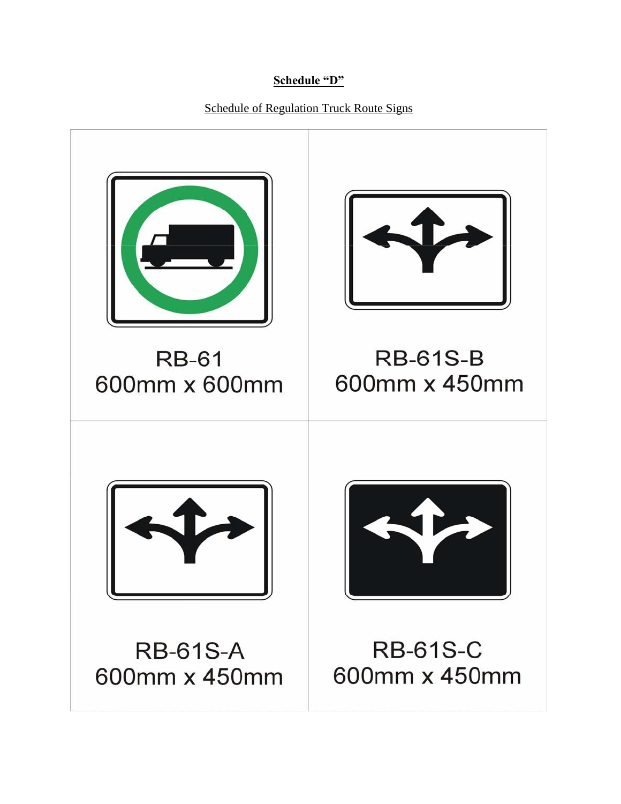## **Schedule "D"**

Schedule of Regulation Truck Route Signs